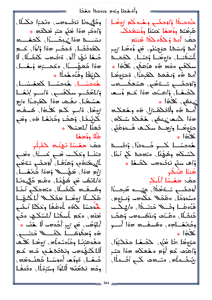وُ}، هُم أَنْ أَهْلُهُمْ عَبْرٍ شَكْتُهُ ﴾ م حَمَدُ إِنِّ يُبِيِّرَ اهْمِ مَسْتَمَرٍ لْمُعْدَدُ لِ مَحَصَّرِ 1،0% وَأَوَّلَ كَسْمَرَ حَْىغُا نُبُّ: أُأُوْ. ةَائْتُمُوتَ كَلْتَصُلَّا. لَّا ادەُ اَ خَعِيْمَـــْ: اِ. ەڭجــــْرُدە وُجھُـــا. لِمَ يُقْدُ وِقُذُهِ هُمَا ! هُوصلِ , هُوصلِ الله للمَسْلِ. وْٱلمُّدَّـــو مىڭگَــــع. ݣَا-ـــو إِنْـمْــا هِسُعْدَلِ. بِمَيْتِ 160 كَعَرِضَرَا 169 ۇەھل. ەاسو كىم كلىغا. ھىيقىھ ݣُرِبُىحُا. وُهجَا: وِجَابُهُا هُو. وِهْب دُهِمًا ٱلمعشلا \* كُلًّا وؤُههُا حقَّ: همَّسُل تُهْبُّدهَ لِكَبِلُرِ دىُسُل وتمكَّسه تَعَبَّ تُعَسَّرًا. وقَصَّ أَلِيهِمَّتْهُمْ وَهُتُوْمًا. أَوْحِكْمٍ مُقَصَّرِ رُامِ هوَا. مَوْكَلٍ وَهوها خَرْبُهُـــا. ة/لمَنْفَ هُمْ هُوُمًا. وهُـع كُلُّمَانَا مَثَّلَ وهَسفَــه ـكْنصَّــُلا. ەـُتەھكــى أَسُــا هَكِّــلًا رُوهُــا مكَكّــلا ٱلمَّدْهَــا هُوصِمُا لِهُوَ أُوصُوُا وِيَحِكْنَا اُسْمَى هْنُهِ . مَكْعِ لَمِيكُنَّا أَلْمَكُنِّي مَكَّ أَلْجَعَّب فَع رَج أَحُده اللَّهَ مَّلَى \* هَٰهِ وَمِدَاوْهَـــا حَثَّـــه ثَــَتْــــو. حفُّەمْئِىُّا وِخُزُەخْماھ. رُوھُـا كَلْـُف لَالمُتْنَهُّهِ وَسَاكُمْهُمْ وَهُ كُلُّمَ حٌىهُــا. هُوؤُها أُهوْمُــا كُعِنْــهِ هُدِهِ . وِحْدَ نَحْمَٰكُمْ لَّالَمُوْا وِحْتِهَٰلًا. وَضَعُا

حَزُّهِ دِمَالٍ وَأَوْحِكْبٍ وِحَدَّدٍ وَهُدَارٍ هُرمُمُمْ وَوُهِمُ كَبِيْنًا وَوُسْعَدِكَب حفَّ: أَبِيهِ وَجَدُّه جَدًّا هَٰئِكُمْ أَبْنَا وَيَسْمَلُ حَرْجِئْسُ. هُمْ وَهِ هُنَا رُبِ سَلَّكَ وَدَه هُوَ فَزَعَكُمْ. لَلأَهُ أَحْدَ أَبِيا هُو وُبِّقِعِيا لِكَبِيْرَا. وُجِرُوهُا وَأَوْحَكُبَ مُسْتَمَّعٍ. هِمُعَاهُـــــــه لِكَمْمًا. وُأَهَنَّ مَا أَكْتُمْ وُسْمًا الثائلة برضي أَسِدْ هُ٥ وِلْلصَّحْصَةِ لِ. هُ٥ وحَصَّدَه . مكند مكتقد برهين من أه اه حرّەھُــا ورُھـــد مىڭـــە فـــەوھُـ*َىْ*. مُحَدَّهُ**/** \* هُوصُلِ كُلِّي شَـودُّل. وَاصَّـــه لمسَّمَلُه وهُؤُمُل. هنَّههم لَكُم أملًا. وُأُفَ مِنْعُ لَأَثْنَاهِ لِلصُّفَاءِ |هُنْءُ هَنُمْر حقّ همّشا ألمُكر أُوْحِكُبِ مُــتَوَهُدًا. ۞ هَــو مُرِحــزًا ەمئەزخُل. ەڭخىلا يىڭدەپ ۆلىۋەھ. فُتُوهُما وِئْمِيلا خَتِمُماً. والمحمد كْتِكْلًا. وهُـنْف وُتتَّقْت وه وُهكْــز وِدَٰنُمُــارُهِهِ فَمُعَمَّـــهِ هَا أُنـــو  $\cdot$  | on  $\propto$  | حوِّهِ مَا ادًا هُنِّي. حَصَّمًا حَدْجُوًّا. وُ}ه ٓوَد لَهُمْ مَعْلَمَ وَاللَّهُ وَاللَّهُ وَالَّهُمْ وَالَّهُمْ وَالَّذَّارِ رِبُحُــهِلُم . ه ـُــمود کُلــمِ ٱذَّــمِلَمْ .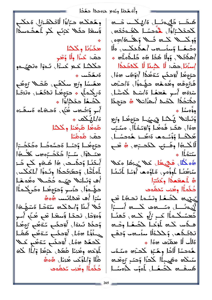وحَقتُه دَءُاؤُا لُاتَحْكَـٰزُلَ. هَـٰكُـٰبِ وَّسفَا حثَلا ۦٓدُبُبُ ۦكُر ۦٱ؎ڂٛ؎ٮٮۮۢا مكُنُّلُ وكُلُّلُ حقَّ: كُنُزَا وِلًا وُهْدِ حكْكُمَا حُـعِ جُمـتْزَآ. تَـوْزَا وتَعِيْنِـورِ ەتقچىت ھ ھمَسُا ورُمِ سَكْفَى ِ. هُـَـْدَ رُوهَى ەْرِيْكەلَمْ، ھۆەھُل لْلاَكْمُـٰ:. ەلْاِتْـل حَصَّمُا حَكَ<sup>م</sup>ُ¦وْا \* أَمِرٍ وَٱلصُّدَاتِ هُنَّىٰ. هَـْــْهَاه هَمْـفَــْه  $\bullet$   $\Delta\Delta\mu$ هُوهُا هُرِهُمُا وِكُلُمَا حق: هُوهُمُّا حوّوهُما وُصُما هُجِسُوجُما وَجُدْجُوا هنداوْل: مَنْهُلُ كُتْكُرُهِ هَبْ كَلَا هُل أَحَطًا وَحِدَّى۔ ﴿ أَ هُـ ۞ ۖ كُـ وَ لَـٰ لَمَاٰتْلَ. وۡحمَّرۡصَٰدُا وِنَـٰءوُٚا ٱلۡلَّكَـٰبِ. أُف وْتُباسْلا حَيْث خُصْبْلا مِعْدِهَا. حَمْدُوَا. حَنِّبٍ وَجَيْءِهُمَا وَجَيْحُواْلِ مْبْرا أَفْ هْدَائْسُتْ رَهُورَةْ ئُلا أَمْلَا وَٱلْمَلَادِ مَّتَوْصًا هَتَمْ هَا وَّەوْتْدَا، نْحَدْا وُّسْعْدا هْي هُنِّي أُسْر وَحِكُمْ سُنةَا. أَوْحِكُبِ عُدْهُبِ وُوهُـا حَسَّوَّمُا «هَاءَ. أَوْحَكُب سُتَمَّعَ هَمَاءَ لْكَحَمَّلَا «هُلْ: أَوْحَكُم كَتَاهُم كَتَلَا لْمُؤْكِدِهِ وِهُدْئِلْ هُعَكِمْ. حَرِّهُمْ وَأَلْمَا كُنْ هُلَّا وْالْمُؤْكَّبِ هُزْمًا. ۞هِ وَ كُنُّه لَمَّا وهُنِي مُحَقَّدِت

ھىكى كىلا ، ئام ئىكى قى كْحِنْكُمْ أُوْلِ. هُوْحِسُلِ كَعْنُدُودُو . دُوكْسا كْمْدْه شْبْلا وُلْمُدْيَةْ/٥٥٠. ەكتىگىل ۇمبۇسىھە {بعكىكتب ، ەلل *أَهِ*كُلاً . وُولًا هُصًا هُو حَاجِدُو£ه \* إِسْتَمَا حِقَّ: لَا حَمْسًا لَا حَكَمْحَجُا حرِّهِهُا أُوِّحِكُم عُـٰٓهُكُما أَاوِّهُڡ هِهَا. فَرْزُوفُه وِهُدِهُه حقُّدوُّا. ةَاحِبْه شرة، أُبِ هَعِمًا هَا هُمْ كُوشًا. حكَتحُكُا حَصْمَ أَعْفَاتِكَ \* حَرَجِكًا ا وؤەمما \* وُسَاسًا فَيَكْسًا فَيُحِيَٰطِ حَوَّوهُا وَوُمِ 100 مِنْ فُوهُدا وُاوْحُدُاً. مِمْعُت هَٰلأَصُلُ وُؤُشَـٰهِ وَٱهۡنَـٰٓ هُوَجِشَـٰلَ ۖ. لْإِحْدَةُ إِوَّيْهِ لِلْكُصَبْرَهِ. قُ قَبِ اعتنائال محكمه لمفهره محكمه بالمحركة بالله هثه مَنْزَهُنُا أُوِؤُهِنٍ. هَاؤُهِمَا أَوْسُلْ لِمُنْتَارِ أَعْتَمِهُمْ إِلَيْتَهِمْ كُثْمَلُّا وهُنِي مُحَقَّدِت حَكَمَهِ مِنْ الْمُسْمَاءِ لَحِيْهِ مَنْ الْمَسْمَدِينَ أَيُد السلام مست هو من السن الصررا كَعِسْتُدْهِدًا حُبِ رُبِّهِ حَدْهِ . كَعِنْدَا فتكم ثلاثه لمؤكلا لمضما وثبه تَكَذَّكُم، وَحَكَدُلًا مِنْدِهِ وَحَقَّى |هُلأُم لًا هكَّرْم هوا ﴾ هُوصِمًا لَّاحًا وِهَجَوْ كُحِبُّوه وَمَكَّف مَسْلَاهِ وَهِيمِلًا لَكْتُوا وُحِمَّہِ وُوَقَعِيهِ ھُسڤ به للصُّمُـا. لُموُّب للُومُـا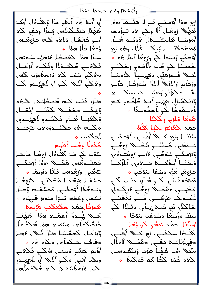أَبِ أَبَيْهِ رَوْهِ وَأَمْ أَجْلَابُهُمْ إِنَّهُمْ أَهْدَ هُهُمَّا حُنثَىكُمْأَنَّ. وَمَدًّا وَجِيمٌ كَلَّه أُسو كَرْنُعُا. هُاهُوْ ݣُدْه حَرّْهِقْدِهِ. وَحَمَٰا قُالَ (5%) ﴾ مسأا 160 للطَّفَىطُ أوْ7هُ عُمْدَته . ثَلاةمے هَلاَنــهُ/ُا وِثَكَــهَ /ُوْكَــا. ەھگىم سَمَّە ئەھكەرەَ ئە وِهُكُمْ أَلَمْلًا كُمْ أَو أَو أَهْلِي وَمِنْ كُمْتَ ھُنَّى ھَنَّب كُلُو ھَئَىطُلَـٰہ ِ كَلُوَهِ وَلِكُــد مكْفْــلا كْتْتَـد إِنْشَا. وَلِحَمَٰنَـٰا هُـــزُبِ كَحَسَّــهِ ٱهِيَّــهِ . ەڭلە ، ھُە كَلْشُلەَوُە ە حَرَّحْشَلْم أفكُمس \* كُثُماُ وهُن أَقْنِم مَّەُ۔ كُمْ كُـٰٓ; كَلاُـهُۚا. ۚ وَهِ هُـا حَبْـهُـا كُعنُــه هُده . هُــْـــلا هەُ أُوْحِنُـــمِ مِّهْ هُمْمٍ . وِرُهُدە مَاللَّهُ وَأَوَّتَهَا \* حمّمُا هوتَعْدَا هُحْكُمٍ. كَرُوهُا وِمُـٰقَهُٰذًا أَوْحَكُبِ ۽ هُجِمُـُهُـُ ۞ وَحِـٰٓءُا ثَمَّعَةٍ. وِكَعْدُهُ ثَمَّةٍ حَدَّهُ وَهُوَ مِهْدَهُ هُدَوْحًا.حقَّ: هَكُعَلَّكَبِ هَُرُهُمَّا كَـــلا فُـــموُّا أُهقـــه هوَا. هُوُنُــا كَىثَىكُمْلُمْ. مِنْهْتُمْ « ) هَٰذَكْتُمْلَا وَّاوْكُمْلْ. ݣْحْصُّْسُلْ هُنْزَا شُكْلْ. ەَرْضُلْ ەھُ;ھُ ئىگەنلەن ەڭلە ، ۋە أَؤُمو كَتْسُو ەُمدَّى. ھُكْم فُكْتُوم وَمِـكَ أَتَتَمَ وَكُـرٍ ٱلْمَكَّلَ لَمَ عَلَيْهِ مَوْمٍ كُب، ةَاهِكْمُمُعْكَمْ كُلُّهِ هَٰكُمُوْءِ.

رُمِ هَذَا أَوْحَكَبٍ كَبِ لَا هِنَيْتِ هَذَا |قَدِيَنُكُمْ رُومُهَا. أَلَّا وِكُمْ هُو تَـٰبِؤُوهَا أُدْفِعُمِا هَٰامِعُنُمُ الْإِنِّ وَأَدْسَمُ هُــُرَا ەَمەككىلىر ۆركىسىشَلْل. وەۋە زە |أَوْحَكُمْ وَمُسْدًا ﴾ ورُّوهُا أَمْلًا هُو \* هُّەھسُل كُر هُنِي ەلَّاشُەر وِهَكْسُر نُمِيلًا هُـوهُمَّةٍ. وهَيْ بِلَا لِلْأَوْمِنُمَا وِوَّدُّنِينَ وَٱلْمَلَامُ ٱلْلَوُّا مِنُدَوْهُـا. حَنَّب هُـــــه لِكُهُرُ وُهسُـــــه مَكَـــــــــه |وُاتَحْکَنْزَلَ. هِيُبِ أَسْمْ خَاشُـُمْرِ کُــْمِ وْْەمىھُەھْل كْتْر تْلْتْمْشُەمىدال ھ |هَمَمُا بَازْبِ وكَكُنَا| حقّ: حَعَّرْهِ مُحْمَّلَ لَلاَّهُ مَنْسُلٍ ورُمِ كَمِيهِ أَقْبٍ. أَوْحِكْبٍ ئەقىم. خىسى ھۇكىلا ۋەھب وْأَوْحِكْبِ سُتَوْهُبٍ. هُ/سِبِ رُوهَتَسْرَةُ مِ وَمَحَتْهَا ٱلْمَوَّكُسِيمْ حَسَوُّهِ، ٱلْمُؤَكَّسَا مَّوَهُمْ هُنَّهُ مَمَّعُلٍ مُتَمَكِّلٍ \* تَعْدَفُعَفَسُم كُلِّي هُلُّ حَتَّى كُلِّمَ ڭقۇسىر. ەكتىمە ئوقىس ةرېڭىملە لْمُـــه هـــ مـُـــو ما من سو للكلسكي السُّمَـــــو من سور من سور من سور سور سور سور سور سور سور سو هْلِتُكُمْ هُمْ شَكْكُبُرْ. مِنْظُلْم كُبْرِ مىللًا ەۋْمىغْل مىئەھُب مَنْەْشَلْ ﴾ |إمنٌئا. حقَّ: عُمْدِ كُرِ وُمْا | كَلَّمُ اسْكَفَبٍ. رُمِ كَلَّلاً أَقْبٍ. ەفْجْنُلْسُّـْهْ دَفْـْعِ. ەھۡصَـْحَة لَاهُ أَا. هَكُلاً هُـ هُمُّنًا هَوْتَ وَيَتَّقَّدُهُ .. لِهُو حُمّز كَحُلّ كَم ثَوكَكُمَا \*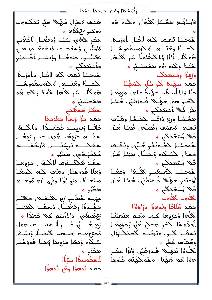وأة هُدْل ودُوم حزوجها حمَّجُا

هُشْفٌ هُمْزًا. كُوَّىْلا شْنُ تَتَكَّدُهُمْ ەُولْدىر تْزَلْكْلُاھ ھ حْثَرِ كَاثَةُو سُمُّا وُودتُهُا. لَاَحُقُّ ة/شّب وٌحدّدے. ةَنفُوشُنَ هُب كَعُننُـــر. حَدَهُــــا ووُلـنُـــا وُكُـــــه الر ەۆشقىكلى ، هُوصِمًا نَّعْفِ كَلَّهِ لَّاجًا. وَأَوْزَحُوا لْكَحَـــزُا وَتَعَنْـَــــرَى وَكُرُومِيمُومٍ هُـــا رُهُ وَكُلًّا. مَمْ كَلَاهُ! هُنُّهُ! وِكَلُّهُ رَهُ و همُحسَّبٌ \* معكئا شمكتي حقَّ: حزًّا وَجِدًا حَعَّاحَكًا دَٰاتْـا وۡرَحۡہــــہ حۡحَۃُــــدٗا ٖ. ہلّا كُـــدُّا ـمفَــزه دۆۋھُـــەُەب. دێــز وُوھُــا هكَمْـــــــه تَرْمِمُنُـــــا. ةَالْمَّصَّــــــزه كَتْكُرْمُوْهِ وَلَا مَكْنُو ﴾ هفَ; هَٰذَهُــٱوما لَّاحُدهَا. حرَّوهُـا وَهِلًا فُومُمُلُلٍ. وهُنْ ذَكْرُهُ كَمِيعُهُ مَمْعِدُ أَنْ دَرُوْ إِوْزَا وِهَيْ آرَةِ وَهِ هُدِهِ محكَّب \* دَيْبِ هُعزُبٍ رُمِ لَلْكَـمْـلا و مَلْأَسُـل دؤُجودُا وِدَرْهَكْلِ. هُ هِفَ: حَمْدُكُمْ أَقْ هُدْهُ مِنْ وَالْمُؤْمَّدُ لَّكُمْ شَهْدًا \* رُمِ مُسْــَىٰ ۖ كَـــــرِ لَٰا هسَّـــــم هٰ ا. ەَحرَّەھْــە (ئىــەب كْلَثَــلَّا وَلَـنَــةَا مَّىنْلَاه وۡحَقَا حَرَّهِ هَٰا وَحَىٰلاً ۖ فَـُمۡفَالُوا ۖ محكَّب الْمَدُّوسِهْ الْمُتَوَاسِيَةِ حقَّ: نُهرَهُوُّا وِهْمٍ نُهرَهُوُّا

ةَالْمَلَوُّمِ هِمَّسْلَ لَلْأَهَّا. وَكَدَّهِ هُوَ هُوصِمُا نَتْقِيمَ كَلَاهُ لِّأَصُلَ لِمُؤْمِنُوا لَكْحَـــزًا وِتْعَنْــــــرَى فَكَرْهِ مَكْرَمَةٍ هُـــا رَّةُ وَكُلاً. وُّاْأَ وَلِمُكَمُّدُواْ لَا مَعْ كَلَّاتُواْ هَٰٓ;ٰۥۢۢٳ وٖێٛ۞ ۞ٛ٥ ههۡحسۡبَٰٓ ۞ اوَوْءُ الْمُشْعَلَب حَقَّ: سَهُّناهُ كُرِّ سُلَّى حُسَّجُتَا دُّا وْٱلْمُسْكُبِ حَهَّنْشُمْلُونِ وَرُوهُا لِكْتُـرِ aهُا شَوْيَـلا ڤَـدَوْهُمَّ. هُز*ئـا* هُٰٓۥٓٓٓٳ ڎٗڸڸ ۏٞٮؽڠڬڬؠ همُسُلِ ورُمِ هَائِبَ لِلصَّعْلِ وِهَٰٓتَت تَعْتَمِ . هَ عَمَّفَ وَهُدَاهَ . هُزْئَا هُــَّi ثُلا وَُسْعَدِكُم ﴾ هُەدىسُا كْمُفْءْتُو شَنَّىٰ. وِكَفْـف ەْھۇل كېتىگە ۋىگىىلل ھۇغا ھۇرا ئُلا ؤَسْفَدَكُم \* هُوصِيًا لِمُتَعِمِّسِ لَلْأَوَّا. وَحَقُّا أُوْصِلُو شَوْيُلا ۖ فَـووَعُلَى ۖ مُوْسَٰلٍ مُحَبَّا ۖ مُحَبَّا أَثَلا مُتَعْدِكُم \*  $|\chi_{\infty} - \chi_{\infty}|$ حف: هَٰلَاطُ وِنُوهُوْا وَوُاوَوُاْ لْمَدُهُا وَحرَّوهُا كَلَّفَ مَكْمَ هَنَّهْنُنَا لَمَادَهُمَا كَثَىرِ هُدَكَمٍ هُنَّهٍ وَجَرَّهِ هُمَا تَعفَّـز كُــُـرٍ. ەتْ1ِئَـــە كُحْدَكِرُوُّل.  $\ket{\ast}$ وهُدان کَعَم ِّلْالُهُ/ مَّوْضًا ۖ فَءوَهُلٍّ. وَ*أ*َوْا حصَّرِ هِوَا كُمْ هُمُِّئًا. مِمُّوَحِّكُتُه خَلْوَجُا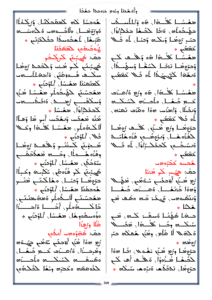هُوصِمًا كَلاهِ كَعِفَجِكْتُا. وَزِجْجُهُاْ ەُوزَةْ ھَــا . ەلَّاھْـــەھە ئەلمۇەمىــــە هَبُمُل أَحدُّمبدُّا حثَكْبُبٌ \* لْهِ صُدُّه وهُ مُحَمَّلًا حقَّ: هُيمٌ بَمْ كُمِكُمْ و هُيمٌنَم كُـرِ هُـ;ٮ وُلكْتَـم وُهمُـل سكَــفَ فُـــەوْهُـُمْ. ەُ/دەْلمُلْـــــەت لْكَعِنَّعْنُنَا هِمَّسْاً. *أَ*لْوَجَنِّي \* ھەّحسَّىنّ خۇنچەمەر ھەئىسا ھُنّ وَسَكَفَسَبِ رُهِـــــــهِ. هَاضَمُــــــه ِكْحِكْكُمْ أُوْلَ. هِمُّسْاً \* هَنُّه هَمِكَسا وُبِمُكَسا أَبِرِ هُا وَهِـٱا لَّاكْتُوهَارِ. همْسُل كَلاُتُوا وِكْتَلَا ثُلا. اْلْمُوَنِّعِ \* مُحْدَبْهَا لِأَسْتُنْسِرِ وَإِللَّهِ ۖ لاَ رُومُهَا ۖ وِقُتُوهُـــواًا. وِتَـــــرَو تَعمَّلَتْهُـــمِ مَّةَدُكُلِ. همَّسُلَ. ٱلْمُؤَدَّبِ \* هُيَّبَمِّ لَكُو قُنُوهُمْ. كَلَّابِــةَ وِكَــبِلَٰا دۆەھلى ۆدئىل. ەھلگىنى ھىئىر هُوجعُلًا همُسُلَ. آلمُؤجَن \* ھەّحسَّىنّى لَاسلاملُر ەَھەم ھىنىنّى . دَاكْـــــةُومْبِ. أُدَّـــــا ةَاهـــــزًا ەۋەممۇھۇممال قىمىسال آلمۇنىڭ پ هُلَّا وَرَجْزًا حقَد: هُوَّوُه مِ أَلَّكُمْ رُمِ مِهْمَا هُنِّهِ أَوْحِكُمِ ۚ غَفْعُمِ حَيْءُهِ وهُدِدةُ!. هُ/هَــتُوبُ كَنْــعْ صُـهُــا. <u>oi sto o Suís o âuvo</u> لمذُه هَدُه وَمُحَرَّم وَمُعَلَّمَ لَكُلُّمَوْهِ وَمَعْلَمَ

ھىمُسُا كَلّْسُوهُ). ھَء وْالْمُلْمَسْكُتْ حجّْىئُە أەي. ەَائا لِكَْتَمَا حَثَكُمْ أَنْ حنَّــز وُهُــا وُحْـله وُصُــا. لَمَا شُــلا كَقْفُع \* همَسْمِ لِلْأَهَا هَ وَبِلْأَ مِنْ لَمْسِي وَحرِّهِ هُــا تَرْتَــا ۖ حَمَّـقَــا وَسَـمَّـــدًا . هَىعْشَا خَنْ مِهْمَا أَمْرَ مِنْ كَا كَمْقَعَمَ همُسُــا كَلَــهُا. هُه وزُع هُاهــْت كب مؤسَّىل مأجبٌ من المنكب وَبِصَلًا. وَأَهْدَمَ مِنْ أَوْمَ مَنْ مَعْنُونَ £ُە ثَىلا كَقْفَعَ \* دوَهِ مُسْلِمٍ وَمُولِّقٍ مِنْ الْمَسْعَفِينِ وَالْمَسْلِمِينِ وَالْمُسَلِمِينِ وَالْمُسَلِمِينِ وَ لحَفُتُوهَــا. وَبَوْوِهُـــو فَزْوهُلَـُــد ەَسَىئَـــە كَحْتَكَـــْ;/وُا. لَمَا ئَـــلا **كَقَفَكُمِ** \* مكحسه كظورهم حقَّ: هيُمبر لكو هُنما رُمِ هُــَ ۚنُ أَوْحِكُبِ ۖ سَـٰٓةَهُبٍ ۚ قَدْهُــِ لا مِنَ كَمَدُه مِنْ يَنْرِهُ . مَا مَشْنَامٌ مْكارِ \* حَــةمْ هُهُنُـا هُمفٌــ; كَــده . قَب مُبْكَّدِهِ وِحُسِبَ كَلاُدْهُ أَ. ثَعْثَمَدُ لا هُكْشَمْ لَمْ هُلُمْ. وِهُنَّى هُكْلُه حَمْرٍ  $\cdot$   $\alpha\alpha\delta\gamma$ دَىْ هُمَا وَرُو هُنَّى مْقُدِيدٍ. آئا 30\$ا لمُصُمُّل هُـ ثُورُكَ. هَلْكُـ هَ أَفْ كُلِّعَ دَوْهِكُلْ: لَكَلَكُمْ هَائِهِمْ مُتَكَلِّهِ ﴾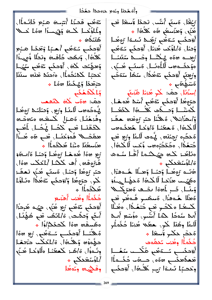ة هُكِنَا وِخُوم .<br>وأَة هُدنا وِثَوم دومدا حهُدُا

د<br>ف .<br>.<br>. حَبَّا أُترَىهَ عَبْمَ كَانُ  $\frac{1}{2}$ شٌم ڤُ خّفَعَى فَعِبّاً أُترَىهَ هَزْم دَٰائُماً!.| ہ<br>ا ے<br>کہ لگ ف  $\overline{\mathbf{y}}$ بلؤ للمَسْلاَمُ الْمَسْرَةِ وَجَمَعَةٍ مِنْ الْمَسْتَمَرَّةِ مِنْ الْمَسْتَمَرَّةِ مِنْ الْمَسْتَمَرَّةِ<br>وَلْمَلَوْكُمْ الْمَسْرَةُ وَفِي الْمَسْرَأَةُ مِنْ الْمَسْلَامِ تنكأة ر<br>م و كَتْنْكُمْ \* حْما هجْم ..<br>ก مَّ بَا وْ قُد ĵ ہا کا ر<br>جُد ر<br>ئى ئەڭ ۊڝڴ ر<br>ح  $\eta$ .<br>. ِ<br>كَلاُهُ/. وَمعُد حَافَيه وَتَطُل وَّصِلًا لَمَ  $\int$  $\frac{1}{2}$  $\frac{1}{2}$ أَكْتُبْ مِنْهُمْ  $\frac{1}{2}$ ن<br>ما تەھ **ق**حدٌ - سماء, ۽ سماعت<br>ڊسمهٽڪ لاتان آ .<br>. ۔<br>حبّا لگھنڈ ۰<br>م لْحَجِّا لْكُلْمُخْمَلَا. وْآَحَكُلْ قْدْرُه مْمْلُلا ر ر<br>ل  $\frac{1}{2}$  $\hat{a}$ ے<br>حلّہ مُ<mark>د</mark> .<br>باُل ہ <sub>آ</sub> .<br>Lóo الْمُصَنَّا الْمَمَّا ś دې<br>دې هڅه کې له شوه له ده کا ں<br>شم مُكَّ .<br>م -<br>ت م<br>بِمَا حُدْهُمَّتَ :  $\ddot{\dot{\delta}}$ جِمَة: 50 سَلاَةُ لَمَنْكُمُ rode lio Lieau .<br>. لُهضَاها الْعُبَا وَزُونَ وَجَبَابَكُمْ رَوْهَا اللَّهُ وَجَمَعَهُمْ o<br>C ے.<br>حُدھ**۔** لَّا 3 ు<br>౨యడం **లు**– ہ<br>کا ى<br>وفَ<sub>اْ</sub>هُنا فَاصَرُلْ لَّكْسَنَّهِ  $\frac{1}{2}$ .<br>. ہُب∤ o<br>C حصر معصر<br>تما قب حمكا ليُكا أ  $\overline{g}$ .<br>Ö <u>ة</u> َ<br>د حدّ .<br>.<br>. <u>.</u><br>هــا ڤ  $\check{\mathbf{c}}$ ههَصْبِ الْهُوْكُسُا. هُب هُو هُنْأَ  $\frac{1}{\rho}$ o<br>C .<br>وَحُسُّـل ٖ ڨُد o<br>N .<br>.<br>. معْنُا مْبْلَدْ  $\frac{1}{2}$  $\frac{2}{3}$  $\tilde{\cdot}$ هَ أَمْمَلْ مِنْهَا هُكْتُمَاًّا ﴾ ہ<br>ا .<br>. رُهِ هؤا هُوهَا رُوهُا وَصُلَ لَهُمَا وَاسْتَهْوَ -<br>-<br>- $\hat{\v}$ ر<br>ہ فَزْوَهُه . أَفْ كُلْمًا ٱلْمُكْكُّبِ هَاْ. إ å  $\overset{*}{\check{}}$ دی است کلاسہ ہوتے<br>قسہ اُف لگل*نا* اُلمَکُ حَمَّ رُوهُا وَصَا مَعنَى هُنَّى تَعَفَّ ، ثمۇ  $\mathbf{r}$ َے مُبَّ o<br>C .<br>ۆك*تا*. ەم*ىد*  + O & 0 ' 
< \*
 () o<br>C .<br>. مَكثُوءُا \*  $\bar{\mathbf{f}}$ .<br>.<br>. كُنْعاًا وِهُٰٓنَا ٱفْنُومِ  $\frac{1}{2}$  $\tilde{\mathbf{c}}$  $\hat{\mathbf{S}}$  : + رحزًا | ن<br>نگو درکت : نو<sup>ن</sup> ر<br>مَّد وَ مُذَ ノッ ن<br>ما تەھ **ۆ**حكٌ  $\frac{1}{\gamma}$  $\eta$ ح هُوُنُـاْ.|  $\frac{1}{2}$ ş ົ້<br>ດ ، ش `<br>∕∕ ـد . ة/ائگُ - 7<br>بر وُحدٌ א<br>⊂ ے<br>-'<br>7  $\eta$ .<br>a ro أَ لَكَحْكَمْ}وُ  $\frac{1}{2}$ ، مَعْسِفْه هوا كَحْدَكُمْ وَالْمَجْمَعْ الْمَجْمَعَةِ مِنْ الْمَجْمَعَةِ مِنْ الْمَجْمَعَةِ مَّبِ } وَجِ مَاهُ | ر<br>ئىس ئىتەنگ ۊحدٌ ى<br>ەُجنَــا أ .<br>.<br>. حَفُّوٓوَه وَلِحُدُّهُۚا ۚ. وَٱلْمَكَـٰفَ حَتَّحَصْـا ﴾ ب حثّ  $\frac{1}{2}$ ه وَ الْأَسْرَاْ. وَالْمَكَ  $\frac{1}{2}$  $\frac{1}{2}$  $\ddot{\bullet}$ وِنُـهوَٰا. ۞}هُــز ـكَــمعَـُـل هااوَحُــل هُــزَى | - $\mathbf{y}$ فحُمل هُجَّ o<br>C ة التاريخ<br>مك*ني*ا الله .<br>ۇا<sub>: </sub>3اڭز ك**م**غ وسورب عاصر<br>اْلمُوْسُعْدكُم \* .<br>قىيە مەھدا e<br>C وڨ

 $\overline{\phantom{0}}$ .<br>معمّا ه ِ<br>بَثْل: هُسبٌ أَسَّب: نَحِدًا وَّ  $\overline{a}$ 'رُبُعْدًا. هُمبُع أَمَنُت. تَجِدًا وَّ*مَعْنَا* هَي -مْعَكُمْ ۞  $\frac{2}{3}$ . .<br>۱۰. وَهذَ  $\frac{1}{2}$ مَنَّهِ . وَهَزَمَعْ هُو كَلاَهُ ! \* ر<br>م ś  $\frac{1}{2}$ .<br>ھُبِ رُھُک سُدۃا رُوھُـا .<br>ئُب مُتَαَدُّ **ۆ**حكٌ ー<br>う  $\eta$  ت<br>ئىم ئــةھُد **ۆ**حكٌ ( ' e<br>S  $\overset{*}{\check{}}$ Ĺ ,<br>وٌحمُل: 16كُوْ  $L_{ii}$ ž " 0 K 2 X ش<br>ف .<br>.<br>. وَدَحْـــــــــومــ لِّلْأَ .<br>.<br>. ەت كېيىسىدا كېيىسىدا<br>«ما اللَّادْسُل: ەَمىسٌم ھُــَنَى. o<br>E .<br>ئــا في كامم  $\sum_{x}^{x}$ كُم عّەهُدًا . مَمْعًا مَمّەدَ ノタ o<br>E **ۆ**حكٌ - پوست<br>ورُوهنگ آ .<br>ئەستىم ئەن  $\frac{1}{2}$ ڭ<mark>ل</mark>.  $\frac{1}{2}$ إمبُّرُلْ. حقَّ:  $\ddot{\dot{\delta}}$ حقَّ: كُمْ هُوْمًا هُوْمَعُ ž لا<br>مار<br>/  $\mathbf{r}$ كْبِر هُنْءُ هُنْبَكَ é o<br>C  $\frac{1}{2}$ .<br>. ا<br>أسد هُ مع آ ر<br>جُد ن<br>ما تەم **ۆ**حكٌ ركترين كلما محكم مدينا كلامي.<br>حرّى هُا أَوْحكَبِ عَمْعَي أَسْدُ هُمسْلَ. -كُمشْــا وُصـــكُفِ كَلَـــْ هُا كَحَكْمُــا  $\zeta$ جسا وَصِــكُوبِ كَلاَـــوَٰا كَكَ  $\frac{1}{2}$  $\ddot{r}$  $\check{\bullet}$  $\stackrel{<}{\sim}$  0. جسا جامعة المستور.<br>14 م م 14 م 16 م 16 م 16  $\hat{\mathbf{S}}$ .<br>-<br>-! ! ( 3 لَاحْدَهُ أَ. هُ هَعَمُدًا هَاوَحُدًا ۖ هُعَنُدُهُ مِنْ .<br>.<br>.  $\mathring{\mathcal{A}}$  . والدین و  $\mathring{\mathcal{A}}$ و هُ حَكَرِه ۚ رَحِمُنَه ﴾ لَهُ عَدَ الْأَمِثُلُ ۚ وَرُوْ ۚ هَٰٓ وَ .<br>منا ورُي ش −<br>T ڪ ل*اً* مسع ہے<br>جُب لانگھا. - . <del>.</del><br>ـدُږُەھــٰ وَ  $\frac{1}{2}$ .<br>ز Ï ( 0  $\frac{2}{3}$  $\stackrel{\ast}{\bullet}$ ەئاھ : ئەھكىگ نْهُ الْمُشْمَا أَقْا مُ ں<br>ش <u>ة</u>  $\overline{\check{\jmath}}$ <mark>] أقبل م</mark>ُده ة المُشْعَلَمِ \* ھُنَے وَهُــا وَصُــا وَهــاُا حُــوغراب .<br>-<br>p s<br>S  $\ddot{\cdot}$  $\hat{\mathbf{f}}$ و ـــر وحـــر وحـــر<br>تُزَكِــل لَّل كُــدةُ لَـ مَحْهُـل حَــرُو ر<br>1 نم سرٹی ہ ے ہمدی*گلا* م<br>1<sub>6</sub> مق ت<br>وَسُلْ ذَٰـمِ لَمْ  $\stackrel{\circ}{\bullet}$ .<br>-<br>-ويت).<br>ەھلا ھُەفال ەُمھىر قەمُر ھَع -ົ້<br>ດ ھُر ھُ ر<br>م M ( 0 ح څ ั<br>วิ ..<br>كىغا ەڭكىر قو ر<br>م .<br>. يد هُ ر<br>ح أبي حدَّه " () 0" + & -<br>•<br>• .<br>-<br>-مثُل وهُلْم كُسِ. حَقَلاً هُنَمُا حُذٌ י<br>י o<br>C '<br>1 لَامِنُا وَهُمْا كُبِّ. حَقَّدَ هُنْنَا دُخُهَلُو =<br>ا  $\mathbf{r}$  $\hat{\mathbf{x}}$  $\mathring{\alpha}$ س ノンご ة<br>ةحصٌرٍ حكّمرٍ وَّممثالِ \* .<br>.<br>. كُنْماًا وهُنم مُده  $\frac{1}{2}$ -م المسلسل والمسلم لها.<br>ام ألا وهُذا و الحكام السياسي o<br>C يِّ مسلم اللَّهُ اللَّهُ مَّب مُتَّ 。<br>C ئُمَــ ۚ رَّـــةَ مُّذ **ۆ**حكٌ  $\frac{1}{\gamma}$  $\eta$ ئے موقع و کُنگ کُنگ .<br>.<br>.  $\frac{1}{2}$  $\mathbf{\hat{S}}$ مدٌ شمكان المستحدث المستحدث المستحدث المستخدمة المستخدمة المستخدمة المستخدمة المستخدمة المستخدمة المستخد  $\frac{1}{2}$  **ۆ**حكٌ - حساب محمد الله عليه عليه المستقرر .<br>- مستقرر الله عليه عليه المستقرر . أ  $\frac{1}{2}$